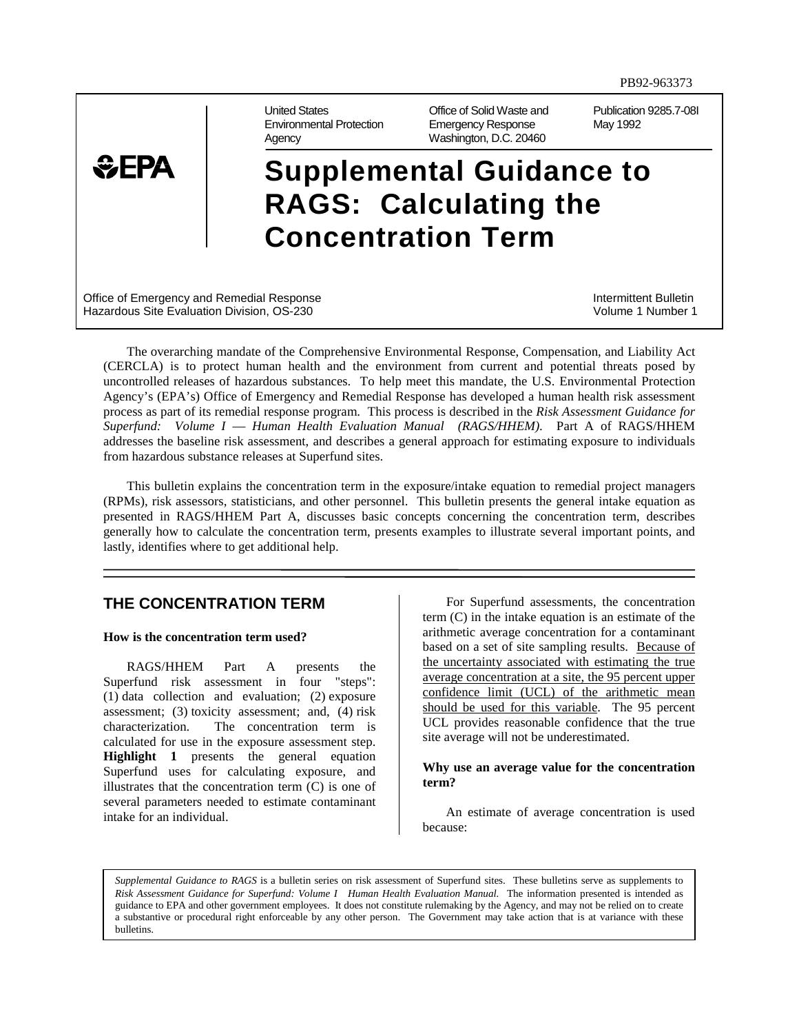

United States Office of Solid Waste and Publication 9285.7-08I Environmental Protection Emergency Response May 1992 Agency Washington, D.C. 20460

# **Supplemental Guidance to RAGS: Calculating the Concentration Term**

Office of Emergency and Remedial Response Intermittent Bulletin Intermittent Bulletin Hazardous Site Evaluation Division, OS-230 Volume 1 Number 1

The overarching mandate of the Comprehensive Environmental Response, Compensation, and Liability Act (CERCLA) is to protect human health and the environment from current and potential threats posed by uncontrolled releases of hazardous substances. To help meet this mandate, the U.S. Environmental Protection Agency's (EPA's) Office of Emergency and Remedial Response has developed a human health risk assessment process as part of its remedial response program. This process is described in the *Risk Assessment Guidance for Superfund: Volume I* — *Human Health Evaluation Manual (RAGS/HHEM)*. Part A of RAGS/HHEM addresses the baseline risk assessment, and describes a general approach for estimating exposure to individuals from hazardous substance releases at Superfund sites.

This bulletin explains the concentration term in the exposure/intake equation to remedial project managers (RPMs), risk assessors, statisticians, and other personnel. This bulletin presents the general intake equation as presented in RAGS/HHEM Part A, discusses basic concepts concerning the concentration term, describes generally how to calculate the concentration term, presents examples to illustrate several important points, and lastly, identifies where to get additional help.

## **THE CONCENTRATION TERM**

#### **How is the concentration term used?**

RAGS/HHEM Part A presents the Superfund risk assessment in four "steps": (1) data collection and evaluation; (2) exposure assessment; (3) toxicity assessment; and, (4) risk characterization. The concentration term is calculated for use in the exposure assessment step. **Highlight 1** presents the general equation Superfund uses for calculating exposure, and illustrates that the concentration term (C) is one of several parameters needed to estimate contaminant intake for an individual.

For Superfund assessments, the concentration term (C) in the intake equation is an estimate of the arithmetic average concentration for a contaminant based on a set of site sampling results. Because of the uncertainty associated with estimating the true average concentration at a site, the 95 percent upper confidence limit (UCL) of the arithmetic mean should be used for this variable. The 95 percent UCL provides reasonable confidence that the true site average will not be underestimated.

#### **Why use an average value for the concentration term?**

An estimate of average concentration is used because:

*Supplemental Guidance to RAGS* is a bulletin series on risk assessment of Superfund sites. These bulletins serve as supplements to *Risk Assessment Guidance for Superfund: Volume IHuman Health Evaluation Manual.* The information presented is intended as guidance to EPA and other government employees. It does not constitute rulemaking by the Agency, and may not be relied on to create a substantive or procedural right enforceable by any other person. The Government may take action that is at variance with these bulletins.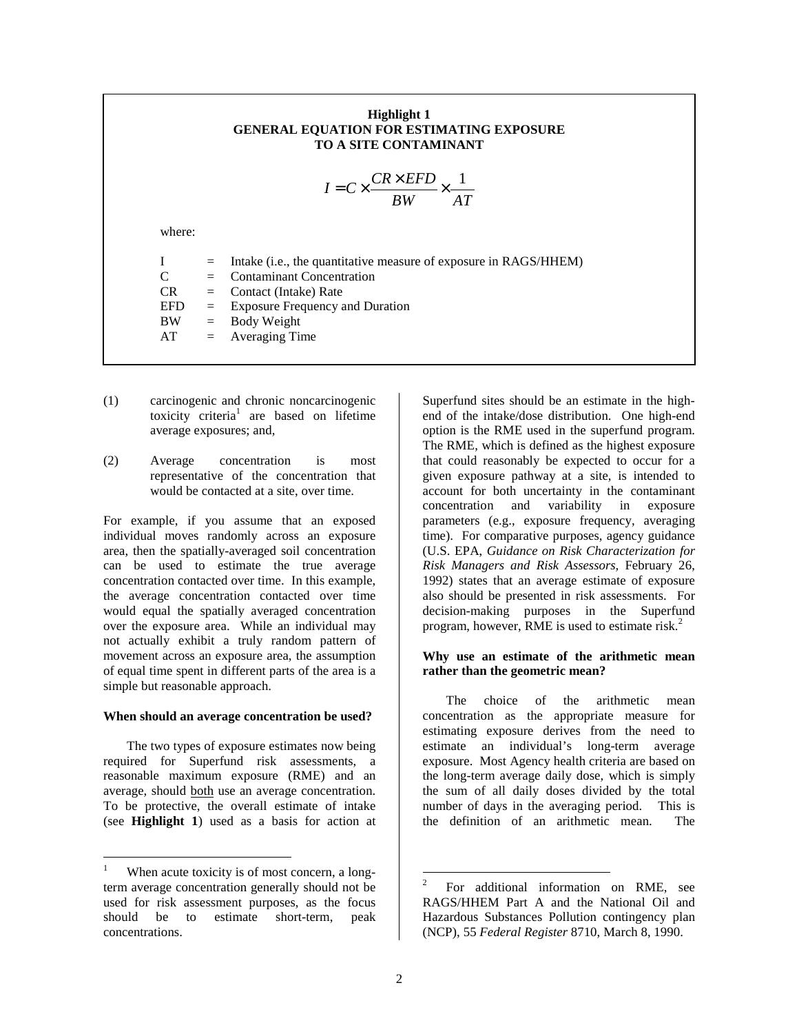## **Highlight 1 GENERAL EQUATION FOR ESTIMATING EXPOSURE TO A SITE CONTAMINANT**

$$
I = C \times \frac{CR \times EFD}{BW} \times \frac{1}{AT}
$$

where:

| L   | $=$ Intake (i.e., the quantitative measure of exposure in RAGS/HHEM) |
|-----|----------------------------------------------------------------------|
| C.  | $=$ Contaminant Concentration                                        |
| CR  | $=$ Contact (Intake) Rate                                            |
| EFD | $=$ Exposure Frequency and Duration                                  |
| ВW  | $=$ Body Weight                                                      |
| AT  | $=$ Averaging Time                                                   |
|     |                                                                      |

- (1) carcinogenic and chronic noncarcinogenic toxicity criteria<sup>1</sup> are based on lifetime average exposures; and,
- (2) Average concentration is most representative of the concentration that would be contacted at a site, over time.

For example, if you assume that an exposed individual moves randomly across an exposure area, then the spatially-averaged soil concentration can be used to estimate the true average concentration contacted over time. In this example, the average concentration contacted over time would equal the spatially averaged concentration over the exposure area. While an individual may not actually exhibit a truly random pattern of movement across an exposure area, the assumption of equal time spent in different parts of the area is a simple but reasonable approach.

#### **When should an average concentration be used?**

The two types of exposure estimates now being required for Superfund risk assessments, a reasonable maximum exposure (RME) and an average, should both use an average concentration. To be protective, the overall estimate of intake (see **Highlight 1**) used as a basis for action at

 $\overline{a}$ 

Superfund sites should be an estimate in the highend of the intake/dose distribution. One high-end option is the RME used in the superfund program. The RME, which is defined as the highest exposure that could reasonably be expected to occur for a given exposure pathway at a site, is intended to account for both uncertainty in the contaminant concentration and variability in exposure parameters (e.g., exposure frequency, averaging time). For comparative purposes, agency guidance (U.S. EPA, *Guidance on Risk Characterization for Risk Managers and Risk Assessors,* February 26, 1992) states that an average estimate of exposure also should be presented in risk assessments. For decision-making purposes in the Superfund program, however, RME is used to estimate risk.<sup>2</sup>

## **Why use an estimate of the arithmetic mean rather than the geometric mean?**

The choice of the arithmetic mean concentration as the appropriate measure for estimating exposure derives from the need to estimate an individual's long-term average exposure. Most Agency health criteria are based on the long-term average daily dose, which is simply the sum of all daily doses divided by the total number of days in the averaging period. This is the definition of an arithmetic mean. The

<sup>1</sup> When acute toxicity is of most concern, a longterm average concentration generally should not be used for risk assessment purposes, as the focus should be to estimate short-term, peak concentrations.

 $\frac{1}{2}$  For additional information on RME, see RAGS/HHEM Part A and the National Oil and Hazardous Substances Pollution contingency plan (NCP), 55 *Federal Register* 8710, March 8, 1990.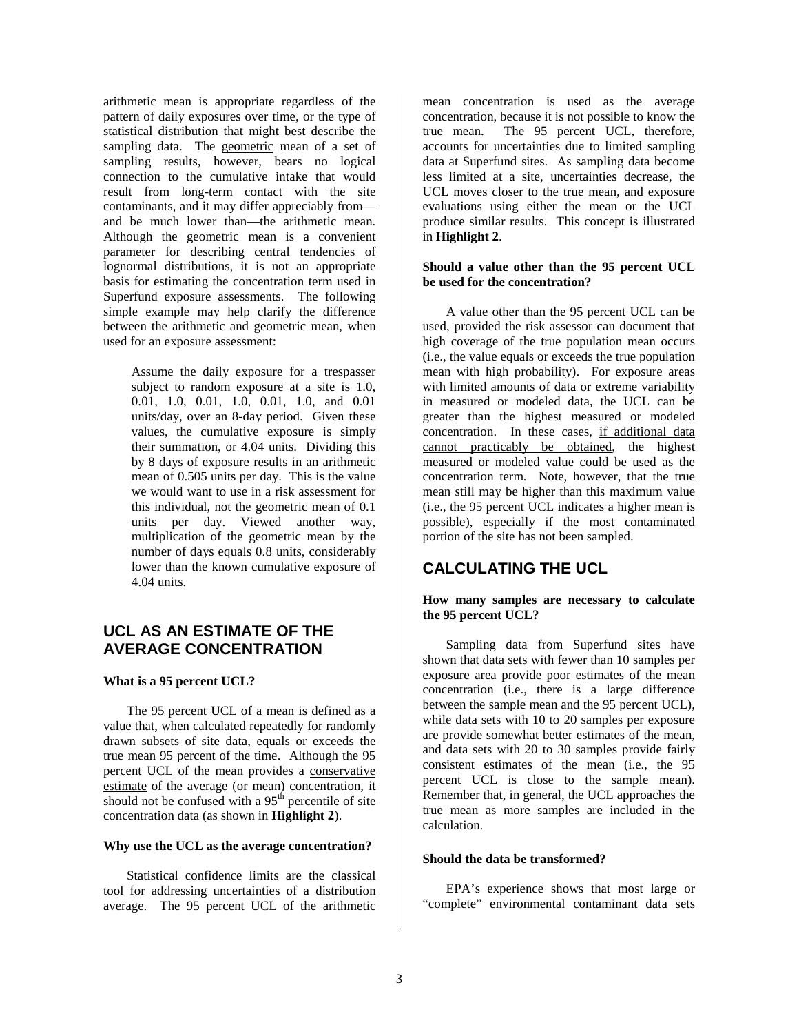arithmetic mean is appropriate regardless of the pattern of daily exposures over time, or the type of statistical distribution that might best describe the sampling data. The geometric mean of a set of sampling results, however, bears no logical connection to the cumulative intake that would result from long-term contact with the site contaminants, and it may differ appreciably from and be much lower than—the arithmetic mean. Although the geometric mean is a convenient parameter for describing central tendencies of lognormal distributions, it is not an appropriate basis for estimating the concentration term used in Superfund exposure assessments. The following simple example may help clarify the difference between the arithmetic and geometric mean, when used for an exposure assessment:

> Assume the daily exposure for a trespasser subject to random exposure at a site is 1.0, 0.01, 1.0, 0.01, 1.0, 0.01, 1.0, and 0.01 units/day, over an 8-day period. Given these values, the cumulative exposure is simply their summation, or 4.04 units. Dividing this by 8 days of exposure results in an arithmetic mean of 0.505 units per day. This is the value we would want to use in a risk assessment for this individual, not the geometric mean of 0.1 units per day. Viewed another way, multiplication of the geometric mean by the number of days equals 0.8 units, considerably lower than the known cumulative exposure of 4.04 units.

# **UCL AS AN ESTIMATE OF THE AVERAGE CONCENTRATION**

## **What is a 95 percent UCL?**

The 95 percent UCL of a mean is defined as a value that, when calculated repeatedly for randomly drawn subsets of site data, equals or exceeds the true mean 95 percent of the time. Although the 95 percent UCL of the mean provides a conservative estimate of the average (or mean) concentration, it should not be confused with a  $95<sup>th</sup>$  percentile of site concentration data (as shown in **Highlight 2**).

## **Why use the UCL as the average concentration?**

Statistical confidence limits are the classical tool for addressing uncertainties of a distribution average. The 95 percent UCL of the arithmetic

mean concentration is used as the average concentration, because it is not possible to know the true mean. The 95 percent UCL, therefore, accounts for uncertainties due to limited sampling data at Superfund sites. As sampling data become less limited at a site, uncertainties decrease, the UCL moves closer to the true mean, and exposure evaluations using either the mean or the UCL produce similar results. This concept is illustrated in **Highlight 2**.

## **Should a value other than the 95 percent UCL be used for the concentration?**

A value other than the 95 percent UCL can be used, provided the risk assessor can document that high coverage of the true population mean occurs (i.e., the value equals or exceeds the true population mean with high probability). For exposure areas with limited amounts of data or extreme variability in measured or modeled data, the UCL can be greater than the highest measured or modeled concentration. In these cases, if additional data cannot practicably be obtained, the highest measured or modeled value could be used as the concentration term. Note, however, that the true mean still may be higher than this maximum value (i.e., the 95 percent UCL indicates a higher mean is possible), especially if the most contaminated portion of the site has not been sampled.

# **CALCULATING THE UCL**

## **How many samples are necessary to calculate the 95 percent UCL?**

Sampling data from Superfund sites have shown that data sets with fewer than 10 samples per exposure area provide poor estimates of the mean concentration (i.e., there is a large difference between the sample mean and the 95 percent UCL), while data sets with 10 to 20 samples per exposure are provide somewhat better estimates of the mean, and data sets with 20 to 30 samples provide fairly consistent estimates of the mean (i.e., the 95 percent UCL is close to the sample mean). Remember that, in general, the UCL approaches the true mean as more samples are included in the calculation.

## **Should the data be transformed?**

EPA's experience shows that most large or "complete" environmental contaminant data sets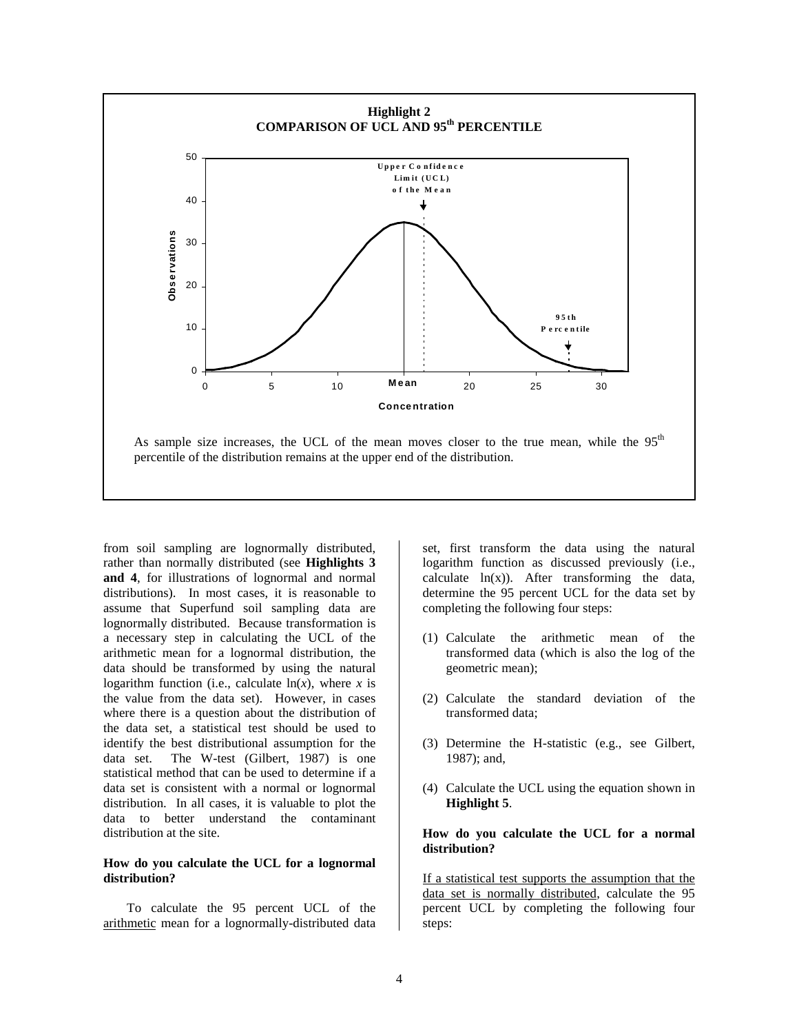

from soil sampling are lognormally distributed, rather than normally distributed (see **Highlights 3 and 4**, for illustrations of lognormal and normal distributions). In most cases, it is reasonable to assume that Superfund soil sampling data are lognormally distributed. Because transformation is a necessary step in calculating the UCL of the arithmetic mean for a lognormal distribution, the data should be transformed by using the natural logarithm function (i.e., calculate  $ln(x)$ , where *x* is the value from the data set). However, in cases where there is a question about the distribution of the data set, a statistical test should be used to identify the best distributional assumption for the data set. The W-test (Gilbert, 1987) is one statistical method that can be used to determine if a data set is consistent with a normal or lognormal distribution. In all cases, it is valuable to plot the data to better understand the contaminant distribution at the site.

## **How do you calculate the UCL for a lognormal distribution?**

To calculate the 95 percent UCL of the arithmetic mean for a lognormally-distributed data set, first transform the data using the natural logarithm function as discussed previously (i.e., calculate  $ln(x)$ ). After transforming the data, determine the 95 percent UCL for the data set by completing the following four steps:

- (1) Calculate the arithmetic mean of the transformed data (which is also the log of the geometric mean);
- (2) Calculate the standard deviation of the transformed data;
- (3) Determine the H-statistic (e.g., see Gilbert, 1987); and,
- (4) Calculate the UCL using the equation shown in **Highlight 5**.

## **How do you calculate the UCL for a normal distribution?**

If a statistical test supports the assumption that the data set is normally distributed, calculate the 95 percent UCL by completing the following four steps: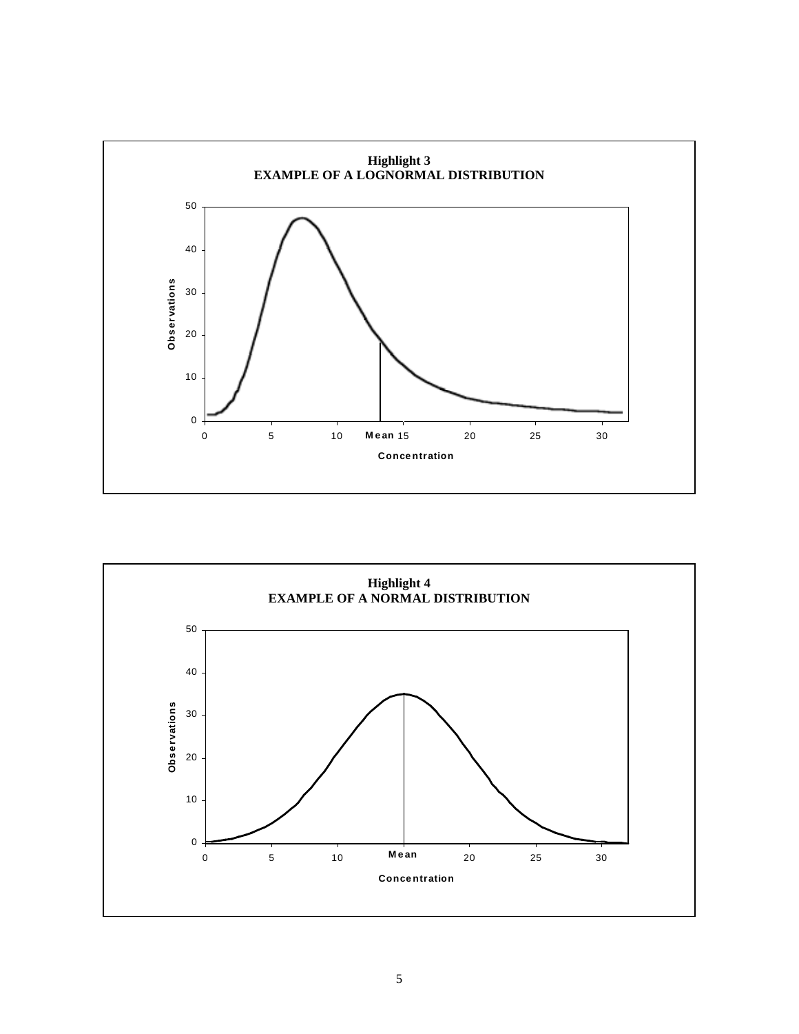

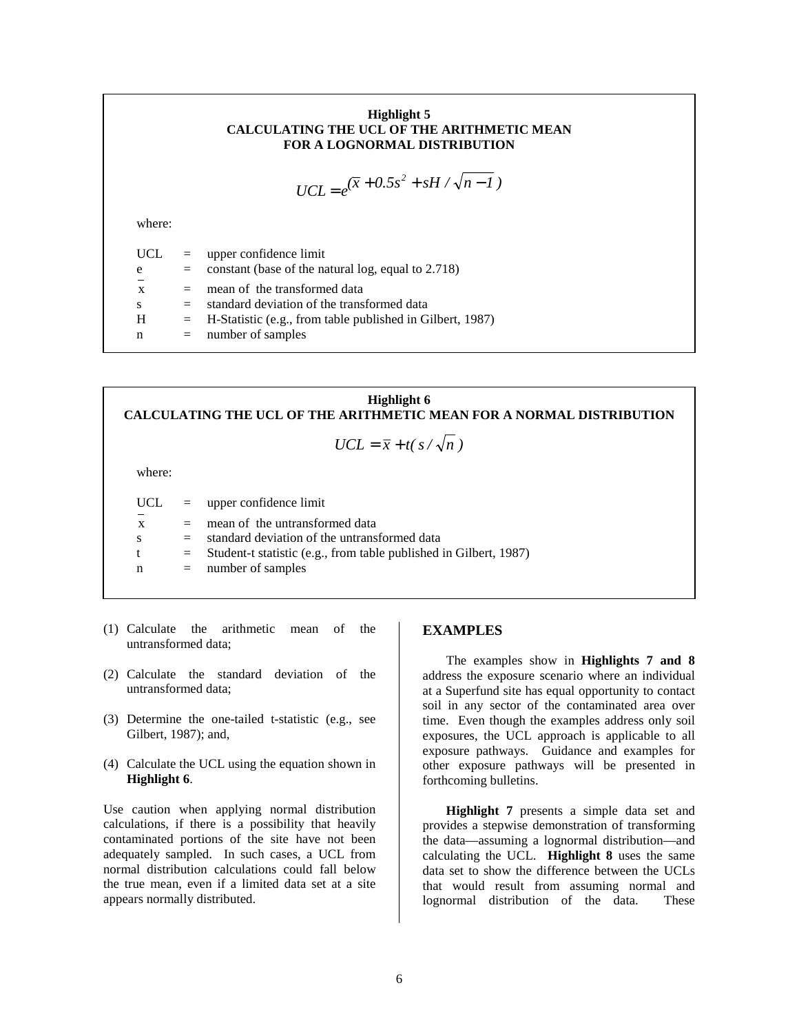## **Highlight 5 CALCULATING THE UCL OF THE ARITHMETIC MEAN FOR A LOGNORMAL DISTRIBUTION**

$$
UCL = e^{(\overline{x} + 0.5s^2 + sH/\sqrt{n-1})}
$$

where:

 $UCL = upper confidence limit$  $e$  = constant (base of the natural log, equal to 2.718)  $x =$  mean of the transformed data  $s = standard deviation of the transformed data$  $H = H-S$ tatistic (e.g., from table published in Gilbert, 1987) n = number of samples

**Highlight 6 CALCULATING THE UCL OF THE ARITHMETIC MEAN FOR A NORMAL DISTRIBUTION**  $UCL = \overline{x} + t(s/\sqrt{n})$ where: UCL = upper confidence limit  $x =$  mean of the untransformed data  $s = standard deviation of the untransformed data$  $t =$  Student-t statistic (e.g., from table published in Gilbert, 1987) n = number of samples

- (1) Calculate the arithmetic mean of the untransformed data;
- (2) Calculate the standard deviation of the untransformed data;
- (3) Determine the one-tailed t-statistic (e.g., see Gilbert, 1987); and,
- (4) Calculate the UCL using the equation shown in **Highlight 6**.

Use caution when applying normal distribution calculations, if there is a possibility that heavily contaminated portions of the site have not been adequately sampled. In such cases, a UCL from normal distribution calculations could fall below the true mean, even if a limited data set at a site appears normally distributed.

## **EXAMPLES**

The examples show in **Highlights 7 and 8** address the exposure scenario where an individual at a Superfund site has equal opportunity to contact soil in any sector of the contaminated area over time. Even though the examples address only soil exposures, the UCL approach is applicable to all exposure pathways. Guidance and examples for other exposure pathways will be presented in forthcoming bulletins.

**Highlight 7** presents a simple data set and provides a stepwise demonstration of transforming the data—assuming a lognormal distribution—and calculating the UCL. **Highlight 8** uses the same data set to show the difference between the UCLs that would result from assuming normal and lognormal distribution of the data. These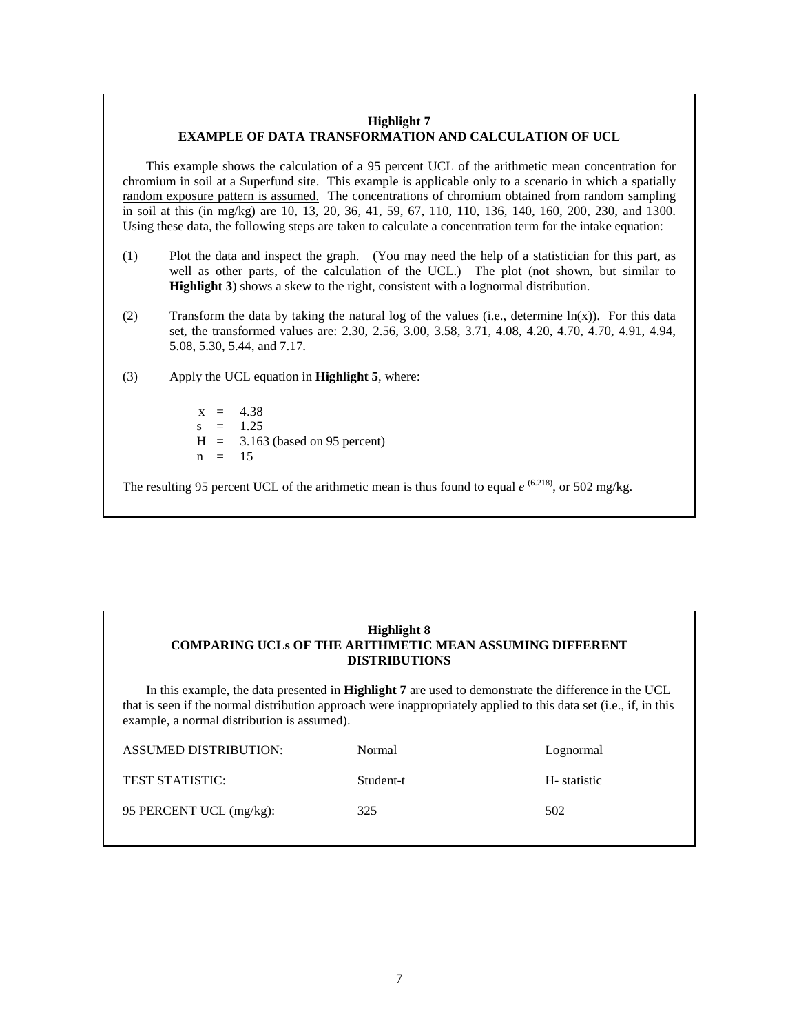## **Highlight 7 EXAMPLE OF DATA TRANSFORMATION AND CALCULATION OF UCL**

This example shows the calculation of a 95 percent UCL of the arithmetic mean concentration for chromium in soil at a Superfund site. This example is applicable only to a scenario in which a spatially random exposure pattern is assumed. The concentrations of chromium obtained from random sampling in soil at this (in mg/kg) are 10, 13, 20, 36, 41, 59, 67, 110, 110, 136, 140, 160, 200, 230, and 1300. Using these data, the following steps are taken to calculate a concentration term for the intake equation:

- (1) Plot the data and inspect the graph. (You may need the help of a statistician for this part, as well as other parts, of the calculation of the UCL.) The plot (not shown, but similar to **Highlight 3**) shows a skew to the right, consistent with a lognormal distribution.
- (2) Transform the data by taking the natural log of the values (i.e., determine  $ln(x)$ ). For this data set, the transformed values are: 2.30, 2.56, 3.00, 3.58, 3.71, 4.08, 4.20, 4.70, 4.70, 4.91, 4.94, 5.08, 5.30, 5.44, and 7.17.
- (3) Apply the UCL equation in **Highlight 5**, where:

 $x = 4.38$  $s = 1.25$  $H = 3.163$  (based on 95 percent)  $n = 15$ 

The resulting 95 percent UCL of the arithmetic mean is thus found to equal *e* <sup>(6.218)</sup>, or 502 mg/kg.

## **Highlight 8 COMPARING UCLs OF THE ARITHMETIC MEAN ASSUMING DIFFERENT DISTRIBUTIONS**

In this example, the data presented in **Highlight 7** are used to demonstrate the difference in the UCL that is seen if the normal distribution approach were inappropriately applied to this data set (i.e., if, in this example, a normal distribution is assumed).

| <b>ASSUMED DISTRIBUTION:</b> | Normal    | Lognormal   |
|------------------------------|-----------|-------------|
| <b>TEST STATISTIC:</b>       | Student-t | H-statistic |
| 95 PERCENT UCL (mg/kg):      | 325       | 502         |